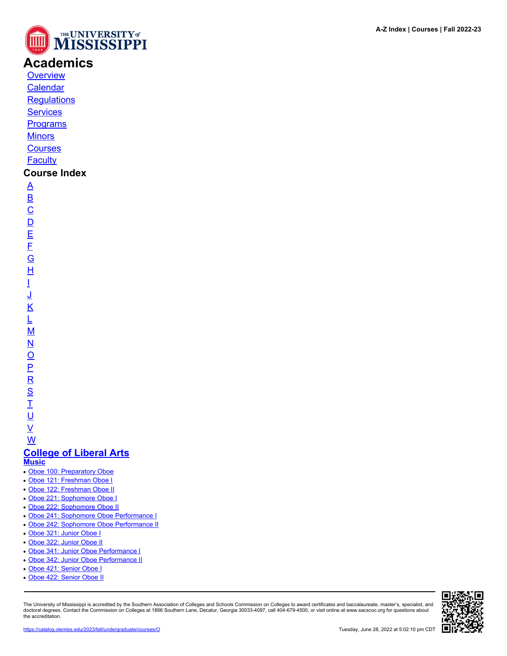

## **Academics**

**[Overview](https://catalog.olemiss.edu/academics)** [Calendar](https://catalog.olemiss.edu/academics/calendar)

**[Regulations](https://catalog.olemiss.edu/academics/regulations)** 

**[Services](https://catalog.olemiss.edu/academics/services)** 

**[Programs](https://catalog.olemiss.edu/programs)** 

**[Minors](https://catalog.olemiss.edu/minors)** 

**[Courses](https://catalog.olemiss.edu/courses)** 

**[Faculty](https://catalog.olemiss.edu/faculty)** 

## **Course Index**

[A](https://catalog.olemiss.edu/courses/A) [B](https://catalog.olemiss.edu/courses/B)  $\overline{C}$  $\overline{C}$  $\overline{C}$  $\overline{D}$  $\overline{D}$  $\overline{D}$ [E](https://catalog.olemiss.edu/courses/E) [F](https://catalog.olemiss.edu/courses/F) [G](https://catalog.olemiss.edu/courses/G) [H](https://catalog.olemiss.edu/courses/H) [I](https://catalog.olemiss.edu/courses/I) [J](https://catalog.olemiss.edu/courses/J) [K](https://catalog.olemiss.edu/courses/K) [L](https://catalog.olemiss.edu/courses/L)  $\underline{\mathsf{M}}$  $\underline{\mathsf{M}}$  $\underline{\mathsf{M}}$ [N](https://catalog.olemiss.edu/courses/N)  $\overline{O}$  $\overline{O}$  $\overline{O}$ [P](https://catalog.olemiss.edu/courses/P)  $\overline{\mathsf{R}}$  $\overline{\mathsf{R}}$  $\overline{\mathsf{R}}$ [S](https://catalog.olemiss.edu/courses/S)  $\overline{1}$ <u>ប</u>

 $\underline{\mathsf{v}}$ 

[W](https://catalog.olemiss.edu/courses/W) **[College of Liberal Arts](https://catalog.olemiss.edu/liberal-arts) [Music](https://catalog.olemiss.edu/liberal-arts/music)**

- [Oboe 100: Preparatory Oboe](https://catalog.olemiss.edu/liberal-arts/music/oboe-100)
- [Oboe 121: Freshman Oboe I](https://catalog.olemiss.edu/liberal-arts/music/oboe-121)
- [Oboe 122: Freshman Oboe II](https://catalog.olemiss.edu/liberal-arts/music/oboe-122)
- [Oboe 221: Sophomore Oboe I](https://catalog.olemiss.edu/liberal-arts/music/oboe-221)
- [Oboe 222: Sophomore Oboe II](https://catalog.olemiss.edu/liberal-arts/music/oboe-222)
- [Oboe 241: Sophomore Oboe Performance I](https://catalog.olemiss.edu/liberal-arts/music/oboe-241)
- [Oboe 242: Sophomore Oboe Performance II](https://catalog.olemiss.edu/liberal-arts/music/oboe-242)
- [Oboe 321: Junior Oboe I](https://catalog.olemiss.edu/liberal-arts/music/oboe-321)
- [Oboe 322: Junior Oboe II](https://catalog.olemiss.edu/liberal-arts/music/oboe-322)
- [Oboe 341: Junior Oboe Performance I](https://catalog.olemiss.edu/liberal-arts/music/oboe-341)
- [Oboe 342: Junior Oboe Performance II](https://catalog.olemiss.edu/liberal-arts/music/oboe-342)
- [Oboe 421: Senior Oboe I](https://catalog.olemiss.edu/liberal-arts/music/oboe-421)
- [Oboe 422: Senior Oboe II](https://catalog.olemiss.edu/liberal-arts/music/oboe-422)

The University of Mississippi is accredited by the Southern Association of Colleges and Schools Commission on Colleges to award certificates and baccalaureate, master's, specialist, and doctoral degrees. Contact the Commission on Colleges at 1866 Southern Lane, Decatur, Georgia 30033-4097, call 404-679-4500, or visit online at www.sacscoc.org for questions about the accreditation.